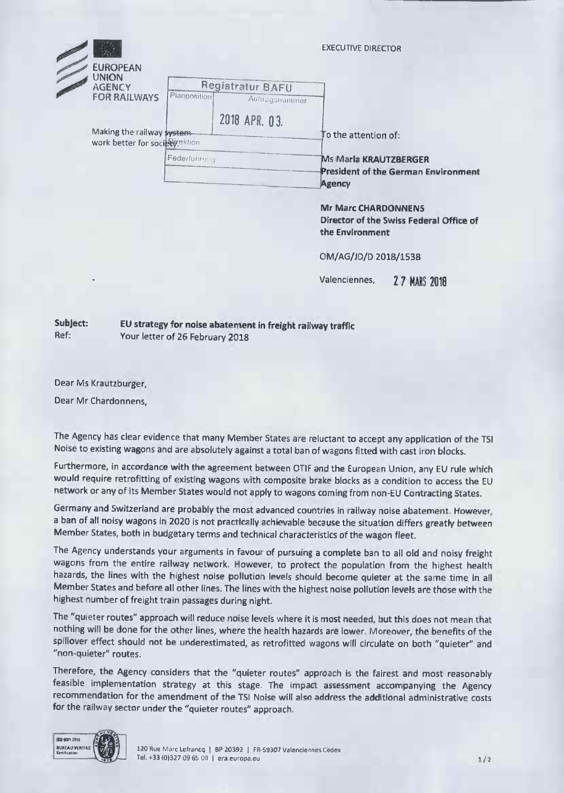|  | <b>EUROPEAN</b><br><b>UNION</b><br><b>AGENCY</b><br><b>FOR RAILWAYS</b> |              |                         |                | <b>EXECUTIVE DIRECTOR</b>                                                            |
|--|-------------------------------------------------------------------------|--------------|-------------------------|----------------|--------------------------------------------------------------------------------------|
|  |                                                                         | Planposition | <b>Registratur BAFU</b> | Auftragsnummer |                                                                                      |
|  | Making the railway system<br>work better for society ektion             |              | 2018 APR. 03.           |                | To the attention of:                                                                 |
|  |                                                                         | Federlührung |                         |                | <b>Ms Maria KRAUTZBERGER</b><br><b>President of the German Environment</b><br>Agency |
|  |                                                                         |              |                         |                | <b>Mr Marc CHARDONNENS</b><br>Director of the Swiss Federal Office of                |

OM/AG/JD/D 2018/1538

**the Environment**

Valenciennes, **2 7 MARS 2018**

**Subject: EU strategy for noise abatement in freight railway traffic** Ref: Your letter of 26 February 2018

Dear Ms Krautzburger,

Dear Mr Chardonnens,

The Agency has clear evidence that many Member States are reluctant to accept any application of the TSI Noise to existing wagons and are absolutely against a total ban of wagons fitted with cast iron blocks.

Furthermore, in accordance with the agreement between OTIF and the European Union, any EU rule which would require retrofitting of existing wagons with composite brake blocks as a condition to access the EU network or any of its Member States would not apply to wagons coming from non-EU Contracting States.

Germany and Switzerland are probably the most advanced countries in railway noise abatement. However, a ban of all noisy wagons in 2020 is not practically achievable because the situation differs greatly between Member States, both in budgetary terms and technical characteristics of the wagon fleet.

The Agency understands your arguments in favour of pursuing a complete ban to all old and noisy freight wagons from the entire railway network. However, to protect the population from the highest health hazards, the lines with the highest noise pollution levels should become quieter at the same time in all Member States and before all other lines. The lines with the highest noise pollution levels are those with the highest number of freight train passages during night.

The "quieter routes" approach will reduce noise levels where it is most needed, but this does not mean that nothing will be done for the other lines, where the health hazards are lower. Moreover, the benefits of the spillover effect should not be underestimated, as retrofitted wagons will circulate on both "quieter" and "non-quieter" routes.

Therefore, the Agency considers that the "quieter routes" approach is the fairest and most reasonably feasible implementation strategy at this stage. The impact assessment accompanying the Agency recommendation for the amendment of the TSI Noise will also address the additional administrative costs for the railway sector under the "quieter routes" approach.



BUREAU VERITAS | UATR | 120 Rue Marc Lefrancq | BP 20392 | FR-S9307 Valenciennes Cedex Tel. +33 (0)327 09 65 00 | era.europa.eu 1/2 and 1/2 and 1/2 and 1/2 and 1/2 and 1/2 and 1/2 and 1/2 and 1/2 and 1/2 and 1/2 and 1/2 and 1/2 and 1/2 and 1/2 and 1/2 and 1/2 and 1/2 and 1/2 and 1/2 and 1/2 and 1/2 and 1/2